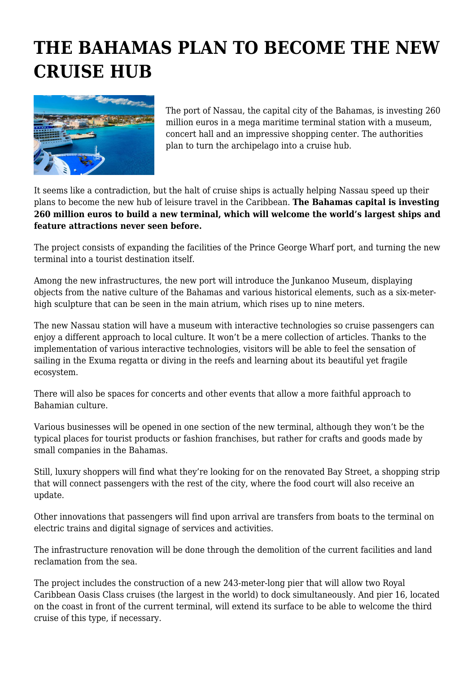## **THE BAHAMAS PLAN TO BECOME THE NEW CRUISE HUB**



The port of Nassau, the capital city of the Bahamas, is investing 260 million euros in a mega maritime terminal station with a museum, concert hall and an impressive shopping center. The authorities plan to turn the archipelago into a cruise hub.

It seems like a contradiction, but the halt of cruise ships is actually helping Nassau speed up their plans to become the new hub of leisure travel in the Caribbean. **The Bahamas capital is investing 260 million euros to build a new terminal, which will welcome the world's largest ships and feature attractions never seen before.**

The project consists of expanding the facilities of the Prince George Wharf port, and turning the new terminal into a tourist destination itself.

Among the new infrastructures, the new port will introduce the Junkanoo Museum, displaying objects from the native culture of the Bahamas and various historical elements, such as a six-meterhigh sculpture that can be seen in the main atrium, which rises up to nine meters.

The new Nassau station will have a museum with interactive technologies so cruise passengers can enjoy a different approach to local culture. It won't be a mere collection of articles. Thanks to the implementation of various interactive technologies, visitors will be able to feel the sensation of sailing in the Exuma regatta or diving in the reefs and learning about its beautiful yet fragile ecosystem.

There will also be spaces for concerts and other events that allow a more faithful approach to Bahamian culture.

Various businesses will be opened in one section of the new terminal, although they won't be the typical places for tourist products or fashion franchises, but rather for crafts and goods made by small companies in the Bahamas.

Still, luxury shoppers will find what they're looking for on the renovated Bay Street, a shopping strip that will connect passengers with the rest of the city, where the food court will also receive an update.

Other innovations that passengers will find upon arrival are transfers from boats to the terminal on electric trains and digital signage of services and activities.

The infrastructure renovation will be done through the demolition of the current facilities and land reclamation from the sea.

The project includes the construction of a new 243-meter-long pier that will allow two Royal Caribbean Oasis Class cruises (the largest in the world) to dock simultaneously. And pier 16, located on the coast in front of the current terminal, will extend its surface to be able to welcome the third cruise of this type, if necessary.